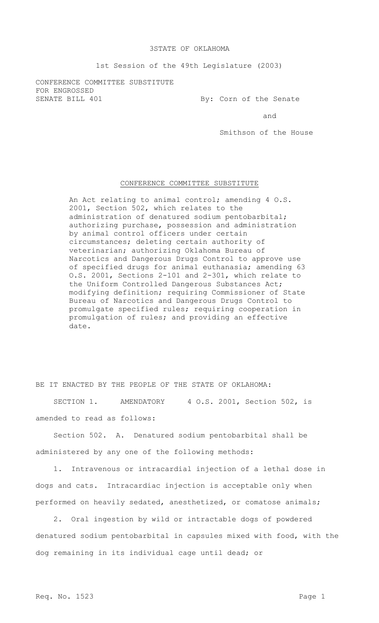## 3STATE OF OKLAHOMA

1st Session of the 49th Legislature (2003)

CONFERENCE COMMITTEE SUBSTITUTE FOR ENGROSSED SENATE BILL 401 By: Corn of the Senate

and

Smithson of the House

## CONFERENCE COMMITTEE SUBSTITUTE

An Act relating to animal control; amending 4 O.S. 2001, Section 502, which relates to the administration of denatured sodium pentobarbital; authorizing purchase, possession and administration by animal control officers under certain circumstances; deleting certain authority of veterinarian; authorizing Oklahoma Bureau of Narcotics and Dangerous Drugs Control to approve use of specified drugs for animal euthanasia; amending 63 O.S. 2001, Sections 2-101 and 2-301, which relate to the Uniform Controlled Dangerous Substances Act; modifying definition; requiring Commissioner of State Bureau of Narcotics and Dangerous Drugs Control to promulgate specified rules; requiring cooperation in promulgation of rules; and providing an effective date.

BE IT ENACTED BY THE PEOPLE OF THE STATE OF OKLAHOMA:

SECTION 1. AMENDATORY 4 O.S. 2001, Section 502, is amended to read as follows:

Section 502. A. Denatured sodium pentobarbital shall be administered by any one of the following methods:

1. Intravenous or intracardial injection of a lethal dose in dogs and cats. Intracardiac injection is acceptable only when performed on heavily sedated, anesthetized, or comatose animals;

2. Oral ingestion by wild or intractable dogs of powdered denatured sodium pentobarbital in capsules mixed with food, with the dog remaining in its individual cage until dead; or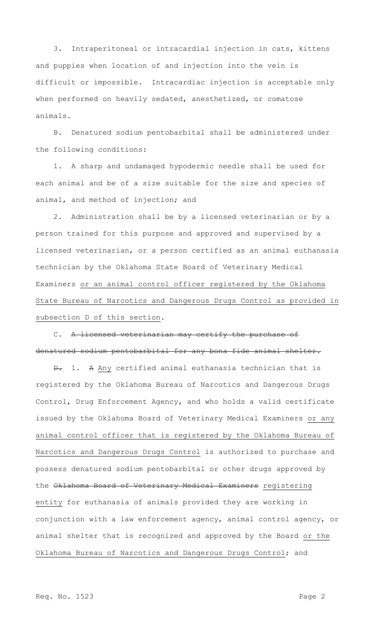3. Intraperitoneal or intracardial injection in cats, kittens and puppies when location of and injection into the vein is difficult or impossible. Intracardiac injection is acceptable only when performed on heavily sedated, anesthetized, or comatose animals.

B. Denatured sodium pentobarbital shall be administered under the following conditions:

1. A sharp and undamaged hypodermic needle shall be used for each animal and be of a size suitable for the size and species of animal, and method of injection; and

2. Administration shall be by a licensed veterinarian or by a person trained for this purpose and approved and supervised by a licensed veterinarian, or a person certified as an animal euthanasia technician by the Oklahoma State Board of Veterinary Medical Examiners or an animal control officer registered by the Oklahoma State Bureau of Narcotics and Dangerous Drugs Control as provided in subsection D of this section.

C. A licensed veterinarian may certify the purchase of denatured sodium pentobarbital for any bona fide animal shelter.

D. 1. A Any certified animal euthanasia technician that is registered by the Oklahoma Bureau of Narcotics and Dangerous Drugs Control, Drug Enforcement Agency, and who holds a valid certificate issued by the Oklahoma Board of Veterinary Medical Examiners or any animal control officer that is registered by the Oklahoma Bureau of Narcotics and Dangerous Drugs Control is authorized to purchase and possess denatured sodium pentobarbital or other drugs approved by the Oklahoma Board of Veterinary Medical Examiners registering entity for euthanasia of animals provided they are working in conjunction with a law enforcement agency, animal control agency, or animal shelter that is recognized and approved by the Board or the Oklahoma Bureau of Narcotics and Dangerous Drugs Control; and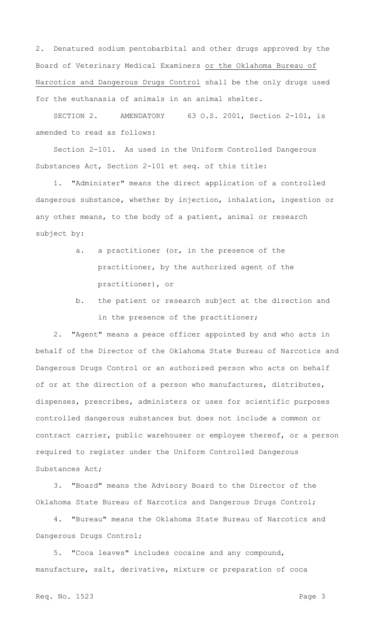2. Denatured sodium pentobarbital and other drugs approved by the Board of Veterinary Medical Examiners or the Oklahoma Bureau of Narcotics and Dangerous Drugs Control shall be the only drugs used for the euthanasia of animals in an animal shelter.

SECTION 2. AMENDATORY 63 O.S. 2001, Section 2-101, is amended to read as follows:

Section 2-101. As used in the Uniform Controlled Dangerous Substances Act, Section 2-101 et seq. of this title:

1. "Administer" means the direct application of a controlled dangerous substance, whether by injection, inhalation, ingestion or any other means, to the body of a patient, animal or research subject by:

- a. a practitioner (or, in the presence of the practitioner, by the authorized agent of the practitioner), or
- b. the patient or research subject at the direction and in the presence of the practitioner;

2. "Agent" means a peace officer appointed by and who acts in behalf of the Director of the Oklahoma State Bureau of Narcotics and Dangerous Drugs Control or an authorized person who acts on behalf of or at the direction of a person who manufactures, distributes, dispenses, prescribes, administers or uses for scientific purposes controlled dangerous substances but does not include a common or contract carrier, public warehouser or employee thereof, or a person required to register under the Uniform Controlled Dangerous Substances Act;

3. "Board" means the Advisory Board to the Director of the Oklahoma State Bureau of Narcotics and Dangerous Drugs Control;

4. "Bureau" means the Oklahoma State Bureau of Narcotics and Dangerous Drugs Control;

5. "Coca leaves" includes cocaine and any compound, manufacture, salt, derivative, mixture or preparation of coca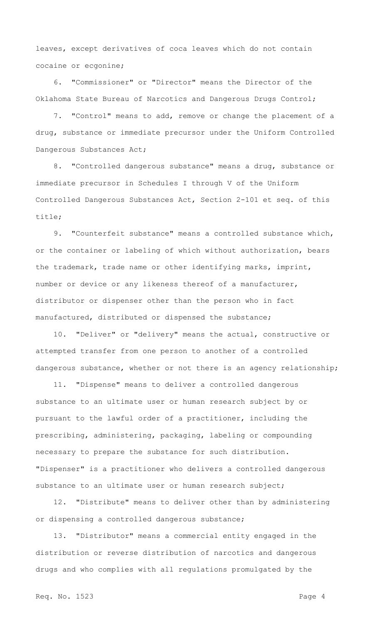leaves, except derivatives of coca leaves which do not contain cocaine or ecgonine;

6. "Commissioner" or "Director" means the Director of the Oklahoma State Bureau of Narcotics and Dangerous Drugs Control;

7. "Control" means to add, remove or change the placement of a drug, substance or immediate precursor under the Uniform Controlled Dangerous Substances Act;

8. "Controlled dangerous substance" means a drug, substance or immediate precursor in Schedules I through V of the Uniform Controlled Dangerous Substances Act, Section 2-101 et seq. of this title;

9. "Counterfeit substance" means a controlled substance which, or the container or labeling of which without authorization, bears the trademark, trade name or other identifying marks, imprint, number or device or any likeness thereof of a manufacturer, distributor or dispenser other than the person who in fact manufactured, distributed or dispensed the substance;

10. "Deliver" or "delivery" means the actual, constructive or attempted transfer from one person to another of a controlled dangerous substance, whether or not there is an agency relationship;

11. "Dispense" means to deliver a controlled dangerous substance to an ultimate user or human research subject by or pursuant to the lawful order of a practitioner, including the prescribing, administering, packaging, labeling or compounding necessary to prepare the substance for such distribution. "Dispenser" is a practitioner who delivers a controlled dangerous substance to an ultimate user or human research subject;

12. "Distribute" means to deliver other than by administering or dispensing a controlled dangerous substance;

13. "Distributor" means a commercial entity engaged in the distribution or reverse distribution of narcotics and dangerous drugs and who complies with all regulations promulgated by the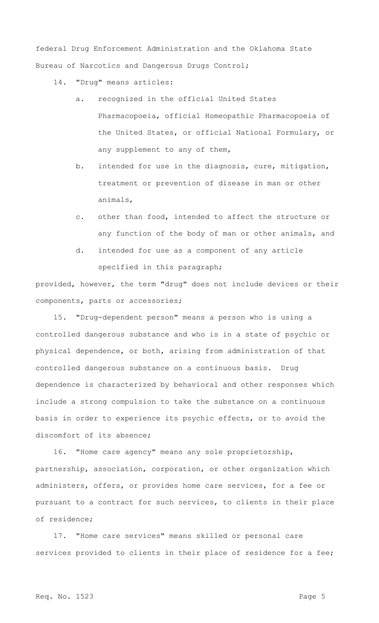federal Drug Enforcement Administration and the Oklahoma State Bureau of Narcotics and Dangerous Drugs Control;

- 14. "Drug" means articles:
	- a. recognized in the official United States Pharmacopoeia, official Homeopathic Pharmacopoeia of the United States, or official National Formulary, or any supplement to any of them,
	- b. intended for use in the diagnosis, cure, mitigation, treatment or prevention of disease in man or other animals,
	- c. other than food, intended to affect the structure or any function of the body of man or other animals, and
	- d. intended for use as a component of any article specified in this paragraph;

provided, however, the term "drug" does not include devices or their components, parts or accessories;

15. "Drug-dependent person" means a person who is using a controlled dangerous substance and who is in a state of psychic or physical dependence, or both, arising from administration of that controlled dangerous substance on a continuous basis. Drug dependence is characterized by behavioral and other responses which include a strong compulsion to take the substance on a continuous basis in order to experience its psychic effects, or to avoid the discomfort of its absence;

16. "Home care agency" means any sole proprietorship, partnership, association, corporation, or other organization which administers, offers, or provides home care services, for a fee or pursuant to a contract for such services, to clients in their place of residence;

17. "Home care services" means skilled or personal care services provided to clients in their place of residence for a fee;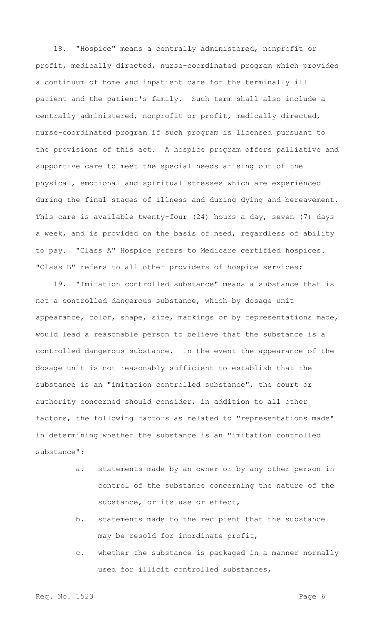18. "Hospice" means a centrally administered, nonprofit or profit, medically directed, nurse-coordinated program which provides a continuum of home and inpatient care for the terminally ill patient and the patient's family. Such term shall also include a centrally administered, nonprofit or profit, medically directed, nurse-coordinated program if such program is licensed pursuant to the provisions of this act. A hospice program offers palliative and supportive care to meet the special needs arising out of the physical, emotional and spiritual stresses which are experienced during the final stages of illness and during dying and bereavement. This care is available twenty-four (24) hours a day, seven (7) days a week, and is provided on the basis of need, regardless of ability to pay. "Class A" Hospice refers to Medicare certified hospices. "Class B" refers to all other providers of hospice services;

19. "Imitation controlled substance" means a substance that is not a controlled dangerous substance, which by dosage unit appearance, color, shape, size, markings or by representations made, would lead a reasonable person to believe that the substance is a controlled dangerous substance. In the event the appearance of the dosage unit is not reasonably sufficient to establish that the substance is an "imitation controlled substance", the court or authority concerned should consider, in addition to all other factors, the following factors as related to "representations made" in determining whether the substance is an "imitation controlled substance":

- a. statements made by an owner or by any other person in control of the substance concerning the nature of the substance, or its use or effect,
- b. statements made to the recipient that the substance may be resold for inordinate profit,
- c. whether the substance is packaged in a manner normally used for illicit controlled substances,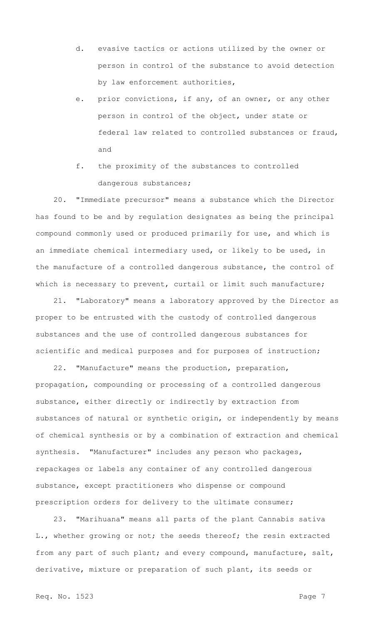- d. evasive tactics or actions utilized by the owner or person in control of the substance to avoid detection by law enforcement authorities,
- e. prior convictions, if any, of an owner, or any other person in control of the object, under state or federal law related to controlled substances or fraud, and
- f. the proximity of the substances to controlled dangerous substances;

20. "Immediate precursor" means a substance which the Director has found to be and by regulation designates as being the principal compound commonly used or produced primarily for use, and which is an immediate chemical intermediary used, or likely to be used, in the manufacture of a controlled dangerous substance, the control of which is necessary to prevent, curtail or limit such manufacture;

21. "Laboratory" means a laboratory approved by the Director as proper to be entrusted with the custody of controlled dangerous substances and the use of controlled dangerous substances for scientific and medical purposes and for purposes of instruction;

22. "Manufacture" means the production, preparation, propagation, compounding or processing of a controlled dangerous substance, either directly or indirectly by extraction from substances of natural or synthetic origin, or independently by means of chemical synthesis or by a combination of extraction and chemical synthesis. "Manufacturer" includes any person who packages, repackages or labels any container of any controlled dangerous substance, except practitioners who dispense or compound prescription orders for delivery to the ultimate consumer;

23. "Marihuana" means all parts of the plant Cannabis sativa L., whether growing or not; the seeds thereof; the resin extracted from any part of such plant; and every compound, manufacture, salt, derivative, mixture or preparation of such plant, its seeds or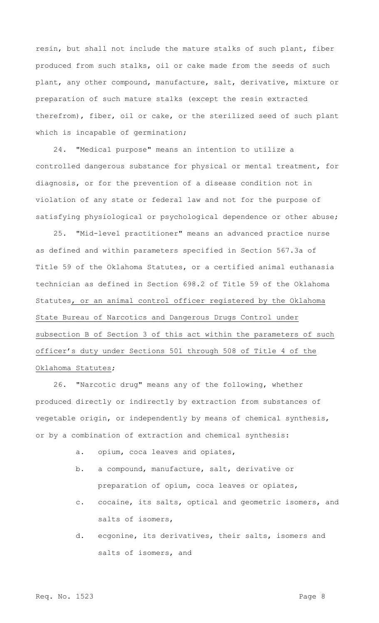resin, but shall not include the mature stalks of such plant, fiber produced from such stalks, oil or cake made from the seeds of such plant, any other compound, manufacture, salt, derivative, mixture or preparation of such mature stalks (except the resin extracted therefrom), fiber, oil or cake, or the sterilized seed of such plant which is incapable of germination;

24. "Medical purpose" means an intention to utilize a controlled dangerous substance for physical or mental treatment, for diagnosis, or for the prevention of a disease condition not in violation of any state or federal law and not for the purpose of satisfying physiological or psychological dependence or other abuse;

25. "Mid-level practitioner" means an advanced practice nurse as defined and within parameters specified in Section 567.3a of Title 59 of the Oklahoma Statutes, or a certified animal euthanasia technician as defined in Section 698.2 of Title 59 of the Oklahoma Statutes, or an animal control officer registered by the Oklahoma State Bureau of Narcotics and Dangerous Drugs Control under subsection B of Section 3 of this act within the parameters of such officer's duty under Sections 501 through 508 of Title 4 of the Oklahoma Statutes;

26. "Narcotic drug" means any of the following, whether produced directly or indirectly by extraction from substances of vegetable origin, or independently by means of chemical synthesis, or by a combination of extraction and chemical synthesis:

- a. opium, coca leaves and opiates,
- b. a compound, manufacture, salt, derivative or preparation of opium, coca leaves or opiates,
- c. cocaine, its salts, optical and geometric isomers, and salts of isomers,
- d. ecgonine, its derivatives, their salts, isomers and salts of isomers, and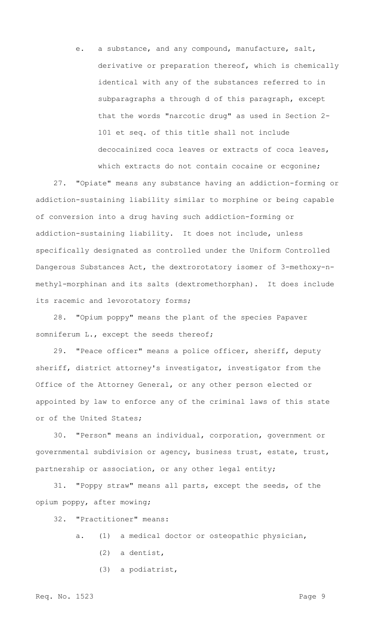e. a substance, and any compound, manufacture, salt, derivative or preparation thereof, which is chemically identical with any of the substances referred to in subparagraphs a through d of this paragraph, except that the words "narcotic drug" as used in Section 2- 101 et seq. of this title shall not include decocainized coca leaves or extracts of coca leaves, which extracts do not contain cocaine or ecgonine;

27. "Opiate" means any substance having an addiction-forming or addiction-sustaining liability similar to morphine or being capable of conversion into a drug having such addiction-forming or addiction-sustaining liability. It does not include, unless specifically designated as controlled under the Uniform Controlled Dangerous Substances Act, the dextrorotatory isomer of 3-methoxy-nmethyl-morphinan and its salts (dextromethorphan). It does include its racemic and levorotatory forms;

28. "Opium poppy" means the plant of the species Papaver somniferum L., except the seeds thereof;

29. "Peace officer" means a police officer, sheriff, deputy sheriff, district attorney's investigator, investigator from the Office of the Attorney General, or any other person elected or appointed by law to enforce any of the criminal laws of this state or of the United States;

30. "Person" means an individual, corporation, government or governmental subdivision or agency, business trust, estate, trust, partnership or association, or any other legal entity;

31. "Poppy straw" means all parts, except the seeds, of the opium poppy, after mowing;

32. "Practitioner" means:

- a. (1) a medical doctor or osteopathic physician,
	- (2) a dentist,
	- (3) a podiatrist,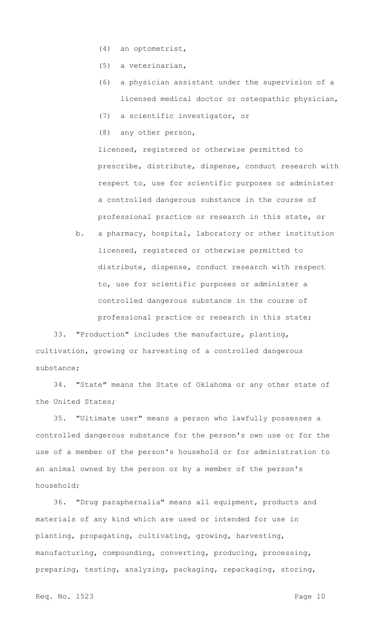- (4) an optometrist,
- (5) a veterinarian,
- (6) a physician assistant under the supervision of a licensed medical doctor or osteopathic physician,
- (7) a scientific investigator, or
- (8) any other person,

licensed, registered or otherwise permitted to prescribe, distribute, dispense, conduct research with respect to, use for scientific purposes or administer a controlled dangerous substance in the course of professional practice or research in this state, or

b. a pharmacy, hospital, laboratory or other institution licensed, registered or otherwise permitted to distribute, dispense, conduct research with respect to, use for scientific purposes or administer a controlled dangerous substance in the course of professional practice or research in this state;

33. "Production" includes the manufacture, planting, cultivation, growing or harvesting of a controlled dangerous substance;

34. "State" means the State of Oklahoma or any other state of the United States;

35. "Ultimate user" means a person who lawfully possesses a controlled dangerous substance for the person's own use or for the use of a member of the person's household or for administration to an animal owned by the person or by a member of the person's household;

36. "Drug paraphernalia" means all equipment, products and materials of any kind which are used or intended for use in planting, propagating, cultivating, growing, harvesting, manufacturing, compounding, converting, producing, processing, preparing, testing, analyzing, packaging, repackaging, storing,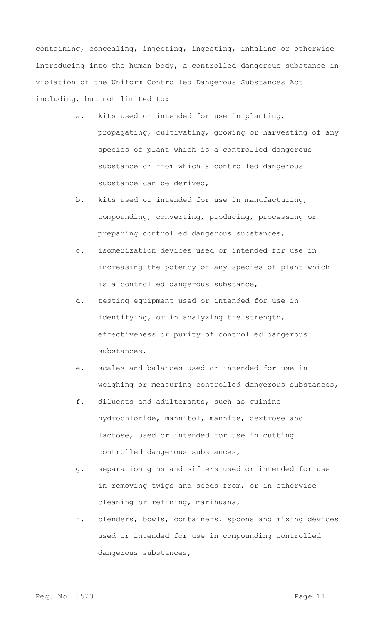containing, concealing, injecting, ingesting, inhaling or otherwise introducing into the human body, a controlled dangerous substance in violation of the Uniform Controlled Dangerous Substances Act including, but not limited to:

- a. kits used or intended for use in planting, propagating, cultivating, growing or harvesting of any species of plant which is a controlled dangerous substance or from which a controlled dangerous substance can be derived,
- b. kits used or intended for use in manufacturing, compounding, converting, producing, processing or preparing controlled dangerous substances,
- c. isomerization devices used or intended for use in increasing the potency of any species of plant which is a controlled dangerous substance,
- d. testing equipment used or intended for use in identifying, or in analyzing the strength, effectiveness or purity of controlled dangerous substances,
- e. scales and balances used or intended for use in weighing or measuring controlled dangerous substances,
- f. diluents and adulterants, such as quinine hydrochloride, mannitol, mannite, dextrose and lactose, used or intended for use in cutting controlled dangerous substances,
- g. separation gins and sifters used or intended for use in removing twigs and seeds from, or in otherwise cleaning or refining, marihuana,
- h. blenders, bowls, containers, spoons and mixing devices used or intended for use in compounding controlled dangerous substances,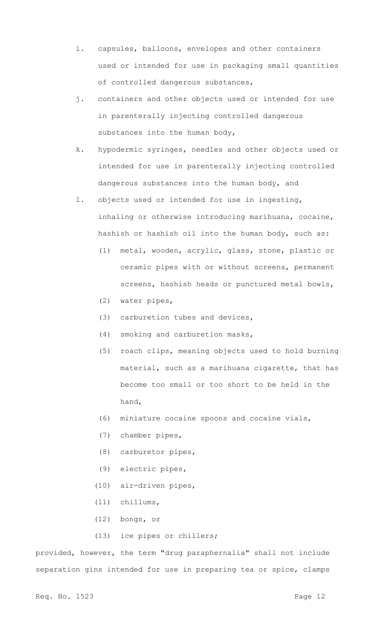- i. capsules, balloons, envelopes and other containers used or intended for use in packaging small quantities of controlled dangerous substances,
- j. containers and other objects used or intended for use in parenterally injecting controlled dangerous substances into the human body,
- k. hypodermic syringes, needles and other objects used or intended for use in parenterally injecting controlled dangerous substances into the human body, and
- l. objects used or intended for use in ingesting, inhaling or otherwise introducing marihuana, cocaine, hashish or hashish oil into the human body, such as:
	- (1) metal, wooden, acrylic, glass, stone, plastic or ceramic pipes with or without screens, permanent screens, hashish heads or punctured metal bowls,
	- (2) water pipes,
	- (3) carburetion tubes and devices,
	- (4) smoking and carburetion masks,
	- (5) roach clips, meaning objects used to hold burning material, such as a marihuana cigarette, that has become too small or too short to be held in the hand,
	- (6) miniature cocaine spoons and cocaine vials,
	- (7) chamber pipes,
	- (8) carburetor pipes,
	- (9) electric pipes,
	- (10) air-driven pipes,
	- (11) chillums,
	- (12) bongs, or
	- (13) ice pipes or chillers;

provided, however, the term "drug paraphernalia" shall not include separation gins intended for use in preparing tea or spice, clamps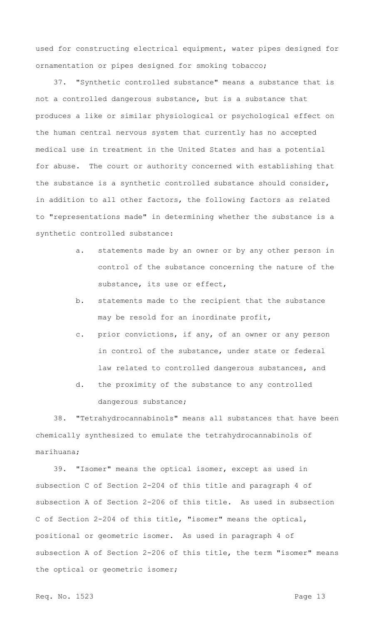used for constructing electrical equipment, water pipes designed for ornamentation or pipes designed for smoking tobacco;

37. "Synthetic controlled substance" means a substance that is not a controlled dangerous substance, but is a substance that produces a like or similar physiological or psychological effect on the human central nervous system that currently has no accepted medical use in treatment in the United States and has a potential for abuse. The court or authority concerned with establishing that the substance is a synthetic controlled substance should consider, in addition to all other factors, the following factors as related to "representations made" in determining whether the substance is a synthetic controlled substance:

- a. statements made by an owner or by any other person in control of the substance concerning the nature of the substance, its use or effect,
- b. statements made to the recipient that the substance may be resold for an inordinate profit,
- c. prior convictions, if any, of an owner or any person in control of the substance, under state or federal law related to controlled dangerous substances, and
- d. the proximity of the substance to any controlled dangerous substance;

38. "Tetrahydrocannabinols" means all substances that have been chemically synthesized to emulate the tetrahydrocannabinols of marihuana;

39. "Isomer" means the optical isomer, except as used in subsection C of Section 2-204 of this title and paragraph 4 of subsection A of Section 2-206 of this title. As used in subsection C of Section 2-204 of this title, "isomer" means the optical, positional or geometric isomer. As used in paragraph 4 of subsection A of Section 2-206 of this title, the term "isomer" means the optical or geometric isomer;